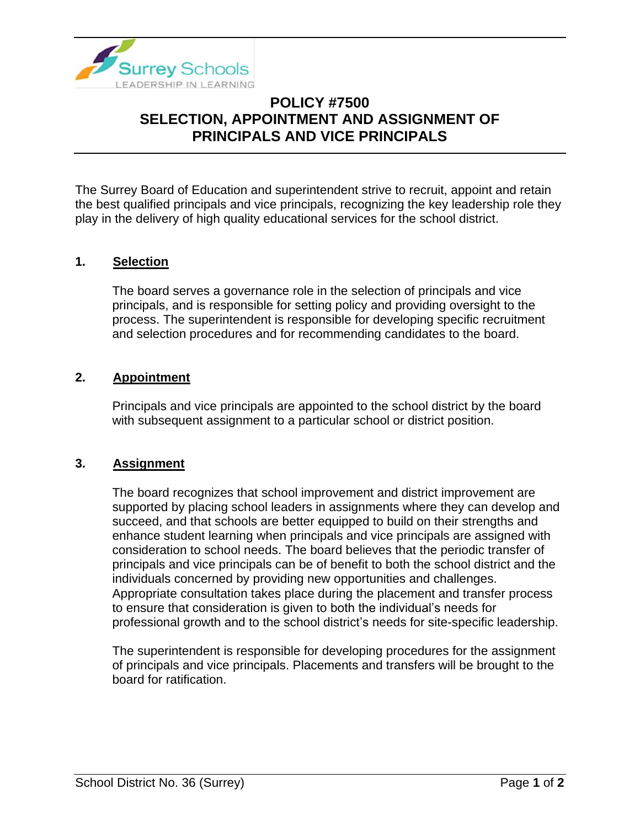

# **POLICY #7500 SELECTION, APPOINTMENT AND ASSIGNMENT OF PRINCIPALS AND VICE PRINCIPALS**

The Surrey Board of Education and superintendent strive to recruit, appoint and retain the best qualified principals and vice principals, recognizing the key leadership role they play in the delivery of high quality educational services for the school district.

### **1. Selection**

The board serves a governance role in the selection of principals and vice principals, and is responsible for setting policy and providing oversight to the process. The superintendent is responsible for developing specific recruitment and selection procedures and for recommending candidates to the board.

#### **2. Appointment**

Principals and vice principals are appointed to the school district by the board with subsequent assignment to a particular school or district position.

#### **3. Assignment**

The board recognizes that school improvement and district improvement are supported by placing school leaders in assignments where they can develop and succeed, and that schools are better equipped to build on their strengths and enhance student learning when principals and vice principals are assigned with consideration to school needs. The board believes that the periodic transfer of principals and vice principals can be of benefit to both the school district and the individuals concerned by providing new opportunities and challenges. Appropriate consultation takes place during the placement and transfer process to ensure that consideration is given to both the individual's needs for professional growth and to the school district's needs for site-specific leadership.

The superintendent is responsible for developing procedures for the assignment of principals and vice principals. Placements and transfers will be brought to the board for ratification.